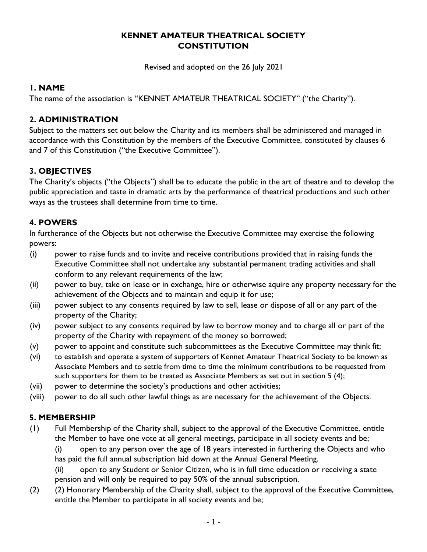#### **KENNET AMATEUR THEATRICAL SOCIETY CONSTITUTION**

Revised and adopted on the 26 July 2021

#### **1. NAME**

The name of the association is "KENNET AMATEUR THEATRICAL SOCIETY" ("the Charity").

### **2. ADMINISTRATION**

Subject to the matters set out below the Charity and its members shall be administered and managed in accordance with this Constitution by the members of the Executive Committee, constituted by clauses 6 and 7 of this Constitution ("the Executive Committee").

## **3. OBJECTIVES**

The Charity's objects ("the Objects") shall be to educate the public in the art of theatre and to develop the public appreciation and taste in dramatic arts by the performance of theatrical productions and such other ways as the trustees shall determine from time to time.

## **4. POWERS**

In furtherance of the Objects but not otherwise the Executive Committee may exercise the following powers:

- (i) power to raise funds and to invite and receive contributions provided that in raising funds the Executive Committee shall not undertake any substantial permanent trading activities and shall conform to any relevant requirements of the law;
- (ii) power to buy, take on lease or in exchange, hire or otherwise aquire any property necessary for the achievement of the Objects and to maintain and equip it for use;
- (iii) power subject to any consents required by law to sell, lease or dispose of all or any part of the property of the Charity;
- (iv) power subject to any consents required by law to borrow money and to charge all or part of the property of the Charity with repayment of the money so borrowed;
- (v) power to appoint and constitute such subcommittees as the Executive Committee may think fit;
- (vi) to establish and operate a system of supporters of Kennet Amateur Theatrical Society to be known as Associate Members and to settle from time to time the minimum contributions to be requested from such supporters for them to be treated as Associate Members as set out in section 5 (4);
- (vii) power to determine the society's productions and other activities;
- (viii) power to do all such other lawful things as are necessary for the achievement of the Objects.

## **5. MEMBERSHIP**

(1) Full Membership of the Charity shall, subject to the approval of the Executive Committee, entitle the Member to have one vote at all general meetings, participate in all society events and be;

(i) open to any person over the age of 18 years interested in furthering the Objects and who has paid the full annual subscription laid down at the Annual General Meeting.

(ii) open to any Student or Senior Citizen, who is in full time education or receiving a state pension and will only be required to pay 50% of the annual subscription.

(2) (2) Honorary Membership of the Charity shall, subject to the approval of the Executive Committee, entitle the Member to participate in all society events and be;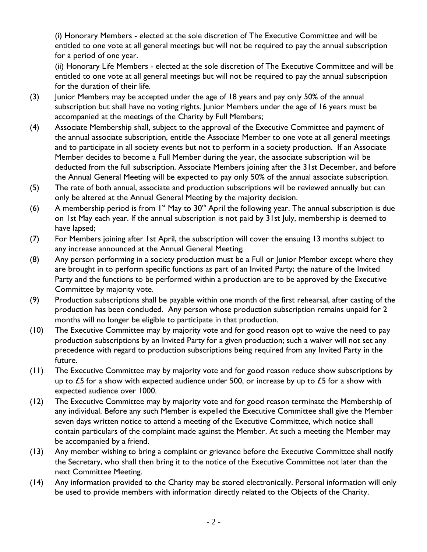(i) Honorary Members - elected at the sole discretion of The Executive Committee and will be entitled to one vote at all general meetings but will not be required to pay the annual subscription for a period of one year.

(ii) Honorary Life Members - elected at the sole discretion of The Executive Committee and will be entitled to one vote at all general meetings but will not be required to pay the annual subscription for the duration of their life.

- (3) Junior Members may be accepted under the age of 18 years and pay only 50% of the annual subscription but shall have no voting rights. Junior Members under the age of 16 years must be accompanied at the meetings of the Charity by Full Members;
- (4) Associate Membership shall, subject to the approval of the Executive Committee and payment of the annual associate subscription, entitle the Associate Member to one vote at all general meetings and to participate in all society events but not to perform in a society production. If an Associate Member decides to become a Full Member during the year, the associate subscription will be deducted from the full subscription. Associate Members joining after the 31st December, and before the Annual General Meeting will be expected to pay only 50% of the annual associate subscription.
- (5) The rate of both annual, associate and production subscriptions will be reviewed annually but can only be altered at the Annual General Meeting by the majority decision.
- (6) A membership period is from  $1^{st}$  May to 30<sup>th</sup> April the following year. The annual subscription is due on 1st May each year. If the annual subscription is not paid by 31st July, membership is deemed to have lapsed;
- (7) For Members joining after 1st April, the subscription will cover the ensuing 13 months subject to any increase announced at the Annual General Meeting;
- (8) Any person performing in a society production must be a Full or Junior Member except where they are brought in to perform specific functions as part of an Invited Party; the nature of the Invited Party and the functions to be performed within a production are to be approved by the Executive Committee by majority vote.
- (9) Production subscriptions shall be payable within one month of the first rehearsal, after casting of the production has been concluded. Any person whose production subscription remains unpaid for 2 months will no longer be eligible to participate in that production.
- (10) The Executive Committee may by majority vote and for good reason opt to waive the need to pay production subscriptions by an Invited Party for a given production; such a waiver will not set any precedence with regard to production subscriptions being required from any Invited Party in the future.
- (11) The Executive Committee may by majority vote and for good reason reduce show subscriptions by up to £5 for a show with expected audience under 500, or increase by up to  $£5$  for a show with expected audience over 1000.
- (12) The Executive Committee may by majority vote and for good reason terminate the Membership of any individual. Before any such Member is expelled the Executive Committee shall give the Member seven days written notice to attend a meeting of the Executive Committee, which notice shall contain particulars of the complaint made against the Member. At such a meeting the Member may be accompanied by a friend.
- (13) Any member wishing to bring a complaint or grievance before the Executive Committee shall notify the Secretary, who shall then bring it to the notice of the Executive Committee not later than the next Committee Meeting.
- (14) Any information provided to the Charity may be stored electronically. Personal information will only be used to provide members with information directly related to the Objects of the Charity.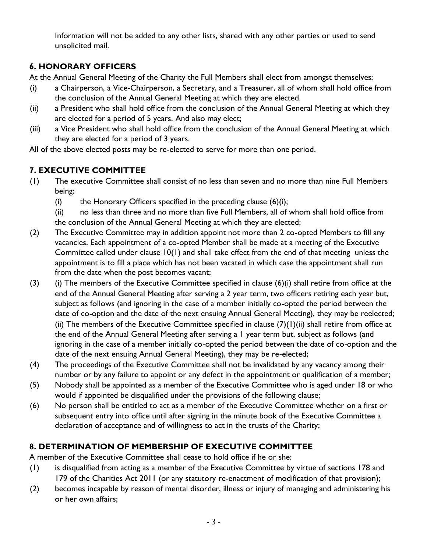Information will not be added to any other lists, shared with any other parties or used to send unsolicited mail.

## **6. HONORARY OFFICERS**

At the Annual General Meeting of the Charity the Full Members shall elect from amongst themselves;

- (i) a Chairperson, a Vice-Chairperson, a Secretary, and a Treasurer, all of whom shall hold office from the conclusion of the Annual General Meeting at which they are elected.
- (ii) a President who shall hold office from the conclusion of the Annual General Meeting at which they are elected for a period of 5 years. And also may elect;
- (iii) a Vice President who shall hold office from the conclusion of the Annual General Meeting at which they are elected for a period of 3 years.

All of the above elected posts may be re-elected to serve for more than one period.

# **7. EXECUTIVE COMMITTEE**

- (1) The executive Committee shall consist of no less than seven and no more than nine Full Members being:
	- (i) the Honorary Officers specified in the preceding clause  $(6)(i)$ ;

(ii) no less than three and no more than five Full Members, all of whom shall hold office from the conclusion of the Annual General Meeting at which they are elected;

- (2) The Executive Committee may in addition appoint not more than 2 co-opted Members to fill any vacancies. Each appointment of a co-opted Member shall be made at a meeting of the Executive Committee called under clause 10(1) and shall take effect from the end of that meeting unless the appointment is to fill a place which has not been vacated in which case the appointment shall run from the date when the post becomes vacant;
- (3) (i) The members of the Executive Committee specified in clause  $(6)(i)$  shall retire from office at the end of the Annual General Meeting after serving a 2 year term, two officers retiring each year but, subject as follows (and ignoring in the case of a member initially co-opted the period between the date of co-option and the date of the next ensuing Annual General Meeting), they may be reelected; (ii) The members of the Executive Committee specified in clause  $(7)(1)(ii)$  shall retire from office at the end of the Annual General Meeting after serving a 1 year term but, subject as follows (and ignoring in the case of a member initially co-opted the period between the date of co-option and the date of the next ensuing Annual General Meeting), they may be re-elected;
- (4) The proceedings of the Executive Committee shall not be invalidated by any vacancy among their number or by any failure to appoint or any defect in the appointment or qualification of a member;
- (5) Nobody shall be appointed as a member of the Executive Committee who is aged under 18 or who would if appointed be disqualified under the provisions of the following clause;
- (6) No person shall be entitled to act as a member of the Executive Committee whether on a first or subsequent entry into office until after signing in the minute book of the Executive Committee a declaration of acceptance and of willingness to act in the trusts of the Charity;

# **8. DETERMINATION OF MEMBERSHIP OF EXECUTIVE COMMITTEE**

A member of the Executive Committee shall cease to hold office if he or she:

- (1) is disqualified from acting as a member of the Executive Committee by virtue of sections 178 and 179 of the Charities Act 2011 (or any statutory re-enactment of modification of that provision);
- (2) becomes incapable by reason of mental disorder, illness or injury of managing and administering his or her own affairs;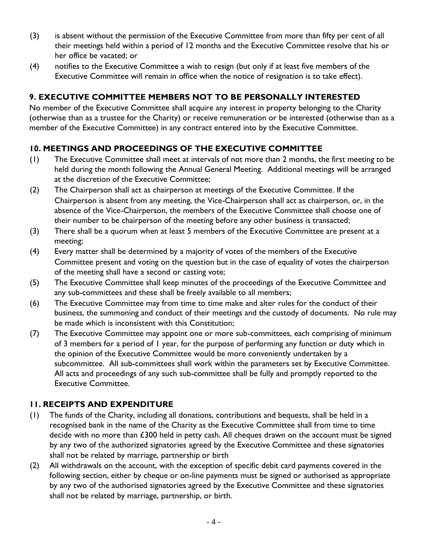- (3) is absent without the permission of the Executive Committee from more than fifty per cent of all their meetings held within a period of 12 months and the Executive Committee resolve that his or her office be vacated; or
- (4) notifies to the Executive Committee a wish to resign (but only if at least five members of the Executive Committee will remain in office when the notice of resignation is to take effect).

## **9. EXECUTIVE COMMITTEE MEMBERS NOT TO BE PERSONALLY INTERESTED**

No member of the Executive Committee shall acquire any interest in property belonging to the Charity (otherwise than as a trustee for the Charity) or receive remuneration or be interested (otherwise than as a member of the Executive Committee) in any contract entered into by the Executive Committee.

## **10. MEETINGS AND PROCEEDINGS OF THE EXECUTIVE COMMITTEE**

- (1) The Executive Committee shall meet at intervals of not more than 2 months, the first meeting to be held during the month following the Annual General Meeting. Additional meetings will be arranged at the discretion of the Executive Committee;
- (2) The Chairperson shall act as chairperson at meetings of the Executive Committee. If the Chairperson is absent from any meeting, the Vice-Chairperson shall act as chairperson, or, in the absence of the Vice-Chairperson, the members of the Executive Committee shall choose one of their number to be chairperson of the meeting before any other business is transacted;
- (3) There shall be a quorum when at least 5 members of the Executive Committee are present at a meeting;
- (4) Every matter shall be determined by a majority of votes of the members of the Executive Committee present and voting on the question but in the case of equality of votes the chairperson of the meeting shall have a second or casting vote;
- (5) The Executive Committee shall keep minutes of the proceedings of the Executive Committee and any sub-committees and these shall be freely available to all members;
- (6) The Executive Committee may from time to time make and alter rules for the conduct of their business, the summoning and conduct of their meetings and the custody of documents. No rule may be made which is inconsistent with this Constitution;
- (7) The Executive Committee may appoint one or more sub-committees, each comprising of minimum of 3 members for a period of 1 year, for the purpose of performing any function or duty which in the opinion of the Executive Committee would be more conveniently undertaken by a subcommittee. All sub-committees shall work within the parameters set by Executive Committee. All acts and proceedings of any such sub-committee shall be fully and promptly reported to the Executive Committee.

## **11. RECEIPTS AND EXPENDITURE**

- (1) The funds of the Charity, including all donations, contributions and bequests, shall be held in a recognised bank in the name of the Charity as the Executive Committee shall from time to time decide with no more than  $\epsilon$ 300 held in petty cash. All cheques drawn on the account must be signed by any two of the authorized signatories agreed by the Executive Committee and these signatories shall not be related by marriage, partnership or birth
- (2) All withdrawals on the account, with the exception of specific debit card payments covered in the following section, either by cheque or on-line payments must be signed or authorised as appropriate by any two of the authorised signatories agreed by the Executive Committee and these signatories shall not be related by marriage, partnership, or birth.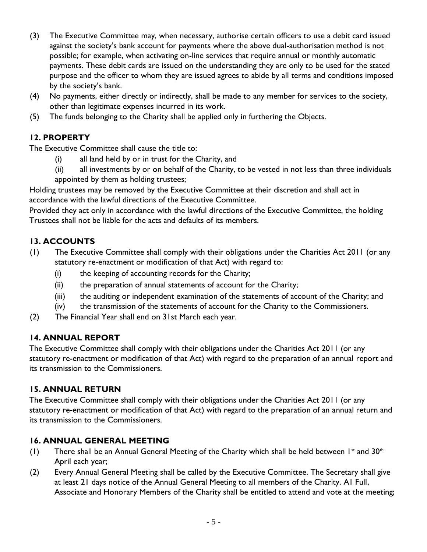- (3) The Executive Committee may, when necessary, authorise certain officers to use a debit card issued against the society's bank account for payments where the above dual-authorisation method is not possible; for example, when activating on-line services that require annual or monthly automatic payments. These debit cards are issued on the understanding they are only to be used for the stated purpose and the officer to whom they are issued agrees to abide by all terms and conditions imposed by the society's bank.
- (4) No payments, either directly or indirectly, shall be made to any member for services to the society, other than legitimate expenses incurred in its work.
- (5) The funds belonging to the Charity shall be applied only in furthering the Objects.

# **12. PROPERTY**

The Executive Committee shall cause the title to:

- (i) all land held by or in trust for the Charity, and
- (ii) all investments by or on behalf of the Charity, to be vested in not less than three individuals appointed by them as holding trustees;

Holding trustees may be removed by the Executive Committee at their discretion and shall act in accordance with the lawful directions of the Executive Committee.

Provided they act only in accordance with the lawful directions of the Executive Committee, the holding Trustees shall not be liable for the acts and defaults of its members.

## **13. ACCOUNTS**

- (1) The Executive Committee shall comply with their obligations under the Charities Act 2011 (or any statutory re-enactment or modification of that Act) with regard to:
	- (i) the keeping of accounting records for the Charity;
	- (ii) the preparation of annual statements of account for the Charity;
	- (iii) the auditing or independent examination of the statements of account of the Charity; and
	- (iv) the transmission of the statements of account for the Charity to the Commissioners.
- (2) The Financial Year shall end on 31st March each year.

## **14. ANNUAL REPORT**

The Executive Committee shall comply with their obligations under the Charities Act 2011 (or any statutory re-enactment or modification of that Act) with regard to the preparation of an annual report and its transmission to the Commissioners.

## **15. ANNUAL RETURN**

The Executive Committee shall comply with their obligations under the Charities Act 2011 (or any statutory re-enactment or modification of that Act) with regard to the preparation of an annual return and its transmission to the Commissioners.

## **16. ANNUAL GENERAL MEETING**

- (1) There shall be an Annual General Meeting of the Charity which shall be held between  $1^{st}$  and 30<sup>th</sup> April each year;
- (2) Every Annual General Meeting shall be called by the Executive Committee. The Secretary shall give at least 21 days notice of the Annual General Meeting to all members of the Charity. All Full, Associate and Honorary Members of the Charity shall be entitled to attend and vote at the meeting;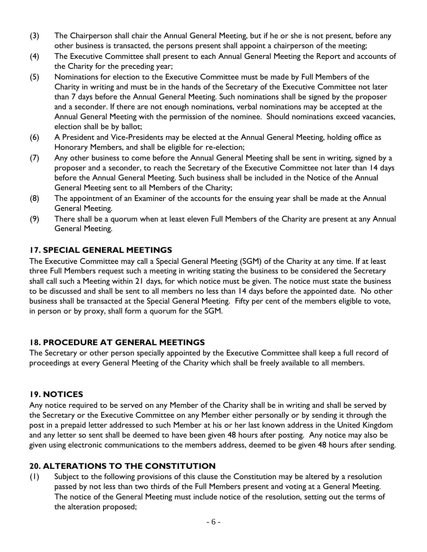- (3) The Chairperson shall chair the Annual General Meeting, but if he or she is not present, before any other business is transacted, the persons present shall appoint a chairperson of the meeting;
- (4) The Executive Committee shall present to each Annual General Meeting the Report and accounts of the Charity for the preceding year;
- (5) Nominations for election to the Executive Committee must be made by Full Members of the Charity in writing and must be in the hands of the Secretary of the Executive Committee not later than 7 days before the Annual General Meeting. Such nominations shall be signed by the proposer and a seconder. If there are not enough nominations, verbal nominations may be accepted at the Annual General Meeting with the permission of the nominee. Should nominations exceed vacancies, election shall be by ballot;
- (6) A President and Vice-Presidents may be elected at the Annual General Meeting, holding office as Honorary Members, and shall be eligible for re-election;
- (7) Any other business to come before the Annual General Meeting shall be sent in writing, signed by a proposer and a seconder, to reach the Secretary of the Executive Committee not later than 14 days before the Annual General Meeting. Such business shall be included in the Notice of the Annual General Meeting sent to all Members of the Charity;
- (8) The appointment of an Examiner of the accounts for the ensuing year shall be made at the Annual General Meeting.
- (9) There shall be a quorum when at least eleven Full Members of the Charity are present at any Annual General Meeting.

### **17. SPECIAL GENERAL MEETINGS**

The Executive Committee may call a Special General Meeting (SGM) of the Charity at any time. If at least three Full Members request such a meeting in writing stating the business to be considered the Secretary shall call such a Meeting within 21 days, for which notice must be given. The notice must state the business to be discussed and shall be sent to all members no less than 14 days before the appointed date. No other business shall be transacted at the Special General Meeting. Fifty per cent of the members eligible to vote, in person or by proxy, shall form a quorum for the SGM.

## **18. PROCEDURE AT GENERAL MEETINGS**

The Secretary or other person specially appointed by the Executive Committee shall keep a full record of proceedings at every General Meeting of the Charity which shall be freely available to all members.

#### **19. NOTICES**

Any notice required to be served on any Member of the Charity shall be in writing and shall be served by the Secretary or the Executive Committee on any Member either personally or by sending it through the post in a prepaid letter addressed to such Member at his or her last known address in the United Kingdom and any letter so sent shall be deemed to have been given 48 hours after posting. Any notice may also be given using electronic communications to the members address, deemed to be given 48 hours after sending.

## **20. ALTERATIONS TO THE CONSTITUTION**

(1) Subject to the following provisions of this clause the Constitution may be altered by a resolution passed by not less than two thirds of the Full Members present and voting at a General Meeting. The notice of the General Meeting must include notice of the resolution, setting out the terms of the alteration proposed;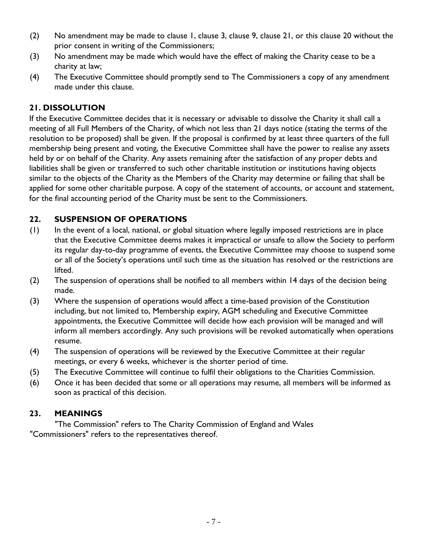- (2) No amendment may be made to clause 1, clause 3, clause 9, clause 21, or this clause 20 without the prior consent in writing of the Commissioners;
- (3) No amendment may be made which would have the effect of making the Charity cease to be a charity at law;
- (4) The Executive Committee should promptly send to The Commissioners a copy of any amendment made under this clause.

## **21. DISSOLUTION**

If the Executive Committee decides that it is necessary or advisable to dissolve the Charity it shall call a meeting of all Full Members of the Charity, of which not less than 21 days notice (stating the terms of the resolution to be proposed) shall be given. If the proposal is confirmed by at least three quarters of the full membership being present and voting, the Executive Committee shall have the power to realise any assets held by or on behalf of the Charity. Any assets remaining after the satisfaction of any proper debts and liabilities shall be given or transferred to such other charitable institution or institutions having objects similar to the objects of the Charity as the Members of the Charity may determine or failing that shall be applied for some other charitable purpose. A copy of the statement of accounts, or account and statement, for the final accounting period of the Charity must be sent to the Commissioners.

## **22. SUSPENSION OF OPERATIONS**

- (1) In the event of a local, national, or global situation where legally imposed restrictions are in place that the Executive Committee deems makes it impractical or unsafe to allow the Society to perform its regular day-to-day programme of events, the Executive Committee may choose to suspend some or all of the Society's operations until such time as the situation has resolved or the restrictions are lifted.
- (2) The suspension of operations shall be notified to all members within 14 days of the decision being made.
- (3) Where the suspension of operations would affect a time-based provision of the Constitution including, but not limited to, Membership expiry, AGM scheduling and Executive Committee appointments, the Executive Committee will decide how each provision will be managed and will inform all members accordingly. Any such provisions will be revoked automatically when operations resume.
- (4) The suspension of operations will be reviewed by the Executive Committee at their regular meetings, or every 6 weeks, whichever is the shorter period of time.
- (5) The Executive Committee will continue to fulfil their obligations to the Charities Commission.
- (6) Once it has been decided that some or all operations may resume, all members will be informed as soon as practical of this decision.

#### **23. MEANINGS**

"The Commission" refers to The Charity Commission of England and Wales "Commissioners" refers to the representatives thereof.